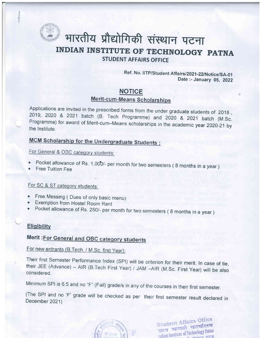

# भारतीय प्रौद्योगिकी संस्थान पटना INDIAN INSTITUTE OF TECHNOLOGY PATNA STUDENT AFFAIRS OFFICE

Ref. No. IITP/Student Affairs/2021-22/Notice/SA-01 Date :- January 05, 2022

### **NOTICE**

**Merit-cum-Means Scholarships** 

Applications are invited in the prescribed forms from the under graduate students of 2018, 2019, 2020 & 2021 batch (B. Tech Programme) and 2020 & 2021 batch (M.Sc. Programme) for award of Merit-cum–Means scholarships in th

## **MCM Scholarship for the Undergraduate Students:**

For General & OBC category students:

- Pocket allowance of Rs. 1,000/- per month for two semesters (8 months in a year )
- 

## For SC & ST category students:

- 
- 
- oFree Messing ( Dues of only basic menu)<br>• Exemption from Hostel Room Rent<br>• Pocket allowance of Rs. 250/- per month for two semesters ( 8 months in a year )

#### **Eligibility**

## **Merit: For General and OBC category students**

For new entrants (B.Tech. / M.Sc. first Year):

Their first Semester Performance Index (SPI) will be criterion for their merit. In case of tie, their JEE (Advance) – AIR (B.Tech First Year) / JAM -AIR (M.Sc. First Year) will be also considered.

Minimum SPI is 6.5 and no "F" (Fail) grade/s in any of the courses in their first semester.

(The SPI and no 'F' grade will be checked as per their first semester result declared in December 2021)



Student Affairs Office Student Alland<br>छात्र मामले कार्यालय Indian Institute of Technology Patna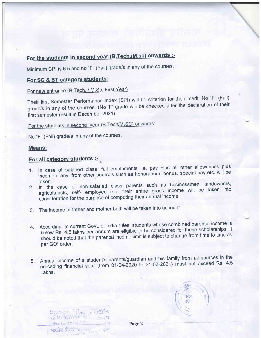## For the students in second year (B.Tech./M.sc) onwards :-

Minimum CPI is 6.5 and no "F" (Fail) grade/s in any of the courses.

### For SC & ST category students:

For new entrance (B.Tech. / M.Sc. First Year)

Their first Semester Performance Index (SPI) will be criterion for their merit. No "F" (Fail) grade/s in any of the courses. (No 'F' grade will be checked after the declaration of their first semester result in December 2021).

For the students in second year (B.Tech/M.SC) onwards:

No "F" (Fail) grade/s in any of the courses.

Student Mregirs Office

पास्तीय प्रोद्यागिका रूप्या पटना

छीने हो

#### Means:

### For all category students :-

- 1. In case of salaried class, full emoluments i.e. pay plus all other allowances plus<br>a bonorrium bonus special pay etc. will be in case or salaried class, fail embrantly the transportance, special pay etc. will be income if any, from other sources such as honorarium, bonus, special pay etc. will be
- 2. taken.<br>In the case of non-salaried class parents such as businessmen, landowners In the case of non-salaried class parents such an income will be taken into<br>agriculturists, self- employed etc, their entire gross income will be taken into agriculturists, complement of computing their annual income.
- 3. The income of father and mother both will be taken into account'
- 4. According to current Govt. of India rules, students whose combined parental income is below Rs. 4.5 lakhs per annum are eligible to be considered for these scholarships. It below its. 4.5 lattic per annum are engine limit is subject to change from time to time as per GOI order.
- 5. Annual income of a student's parents/guardian and his family from all sources in the hindal little of a stadent's parenting<br>preceding financial year (from 01-04-2020 to 31-03-2021) must not exceed Rs. 4.5 Lakhs.